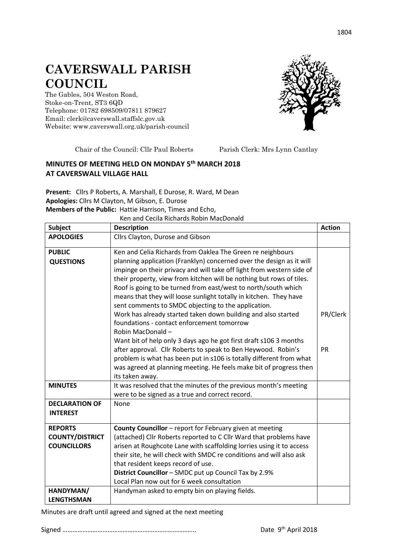## **CAVERSWALL PARISH COUNCIL**

The Gables, 504 Weston Road, Stoke-on-Trent, ST3 6QD Telephone: 01782 698509/07811 879627 Email: clerk@caverswall.staffslc.gov.uk Website: [www.c](http://www.dilhorneparishcouncil.co.uk/)averswall.org.uk/parish-council



Chair of the Council: Cllr Paul Roberts Parish Clerk: Mrs Lynn Cantlay

## **MINUTES OF MEETING HELD ON MONDAY 5 th MARCH 2018 AT CAVERSWALL VILLAGE HALL**

**Present:** Cllrs P Roberts, A. Marshall, E Durose, R. Ward, M Dean **Apologies:** Cllrs M Clayton, M Gibson, E. Durose **Members of the Public:** Hattie Harrison, Times and Echo,

Ken and Cecila Richards Robin MacDonald

| <b>Subject</b>                                                 | <b>Description</b>                                                                                                                                                                                                                                                                                                                                                                                                                                                                                                                                                                                                                                                                        | <b>Action</b>  |
|----------------------------------------------------------------|-------------------------------------------------------------------------------------------------------------------------------------------------------------------------------------------------------------------------------------------------------------------------------------------------------------------------------------------------------------------------------------------------------------------------------------------------------------------------------------------------------------------------------------------------------------------------------------------------------------------------------------------------------------------------------------------|----------------|
| <b>APOLOGIES</b>                                               | Cllrs Clayton, Durose and Gibson                                                                                                                                                                                                                                                                                                                                                                                                                                                                                                                                                                                                                                                          |                |
| <b>PUBLIC</b><br><b>QUESTIONS</b>                              | Ken and Celia Richards from Oaklea The Green re neighbours<br>planning application (Franklyn) concerned over the design as it will<br>impinge on their privacy and will take off light from western side of<br>their property, view from kitchen will be nothing but rows of tiles.<br>Roof is going to be turned from east/west to north/south which<br>means that they will loose sunlight totally in kitchen. They have<br>sent comments to SMDC objecting to the application.<br>Work has already started taken down building and also started<br>foundations - contact enforcement tomorrow<br>Robin MacDonald-<br>Want bit of help only 3 days ago he got first draft s106 3 months | PR/Clerk<br>PR |
|                                                                | after approval. Cllr Roberts to speak to Ben Heywood. Robin's<br>problem is what has been put in s106 is totally different from what<br>was agreed at planning meeting. He feels make bit of progress then<br>its taken away.                                                                                                                                                                                                                                                                                                                                                                                                                                                             |                |
| <b>MINUTES</b>                                                 | It was resolved that the minutes of the previous month's meeting<br>were to be signed as a true and correct record.                                                                                                                                                                                                                                                                                                                                                                                                                                                                                                                                                                       |                |
| <b>DECLARATION OF</b><br><b>INTEREST</b>                       | None                                                                                                                                                                                                                                                                                                                                                                                                                                                                                                                                                                                                                                                                                      |                |
| <b>REPORTS</b><br><b>COUNTY/DISTRICT</b><br><b>COUNCILLORS</b> | County Councillor - report for February given at meeting<br>(attached) Cllr Roberts reported to C Cllr Ward that problems have<br>arisen at Roughcote Lane with scaffolding lorries using it to access<br>their site, he will check with SMDC re conditions and will also ask<br>that resident keeps record of use.<br>District Councillor - SMDC put up Council Tax by 2.9%<br>Local Plan now out for 6 week consultation                                                                                                                                                                                                                                                                |                |
| HANDYMAN/<br><b>LENGTHSMAN</b>                                 | Handyman asked to empty bin on playing fields.                                                                                                                                                                                                                                                                                                                                                                                                                                                                                                                                                                                                                                            |                |

Minutes are draft until agreed and signed at the next meeting

Signed …………………………………………………………………….. Date 9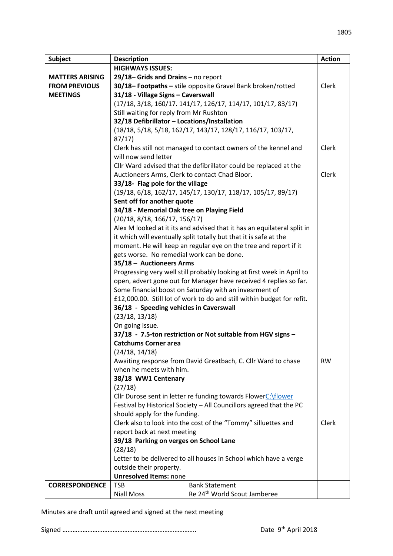| Subject                | <b>Description</b>                                                      | <b>Action</b> |
|------------------------|-------------------------------------------------------------------------|---------------|
|                        | <b>HIGHWAYS ISSUES:</b>                                                 |               |
| <b>MATTERS ARISING</b> | $29/18$ – Grids and Drains – no report                                  |               |
| <b>FROM PREVIOUS</b>   | 30/18-Footpaths - stile opposite Gravel Bank broken/rotted              | Clerk         |
| <b>MEETINGS</b>        | 31/18 - Village Signs - Caverswall                                      |               |
|                        | (17/18, 3/18, 160/17. 141/17, 126/17, 114/17, 101/17, 83/17)            |               |
|                        | Still waiting for reply from Mr Rushton                                 |               |
|                        | 32/18 Defibrillator - Locations/Installation                            |               |
|                        | (18/18, 5/18, 5/18, 162/17, 143/17, 128/17, 116/17, 103/17,             |               |
|                        | 87/17                                                                   |               |
|                        | Clerk has still not managed to contact owners of the kennel and         | Clerk         |
|                        | will now send letter                                                    |               |
|                        | Cllr Ward advised that the defibrillator could be replaced at the       |               |
|                        | Auctioneers Arms, Clerk to contact Chad Bloor.                          | Clerk         |
|                        | 33/18- Flag pole for the village                                        |               |
|                        | (19/18, 6/18, 162/17, 145/17, 130/17, 118/17, 105/17, 89/17)            |               |
|                        | Sent off for another quote                                              |               |
|                        | 34/18 - Memorial Oak tree on Playing Field                              |               |
|                        | (20/18, 8/18, 166/17, 156/17)                                           |               |
|                        | Alex M looked at it its and advised that it has an equilateral split in |               |
|                        | it which will eventually split totally but that it is safe at the       |               |
|                        | moment. He will keep an regular eye on the tree and report if it        |               |
|                        | gets worse. No remedial work can be done.                               |               |
|                        | 35/18 - Auctioneers Arms                                                |               |
|                        | Progressing very well still probably looking at first week in April to  |               |
|                        | open, advert gone out for Manager have received 4 replies so far.       |               |
|                        | Some financial boost on Saturday with an invesrment of                  |               |
|                        | £12,000.00. Still lot of work to do and still within budget for refit.  |               |
|                        | 36/18 - Speeding vehicles in Caverswall                                 |               |
|                        | (23/18, 13/18)                                                          |               |
|                        | On going issue.                                                         |               |
|                        | 37/18 - 7.5-ton restriction or Not suitable from HGV signs -            |               |
|                        | <b>Catchums Corner area</b>                                             |               |
|                        | (24/18, 14/18)                                                          |               |
|                        | Awaiting response from David Greatbach, C. Cllr Ward to chase           | <b>RW</b>     |
|                        | when he meets with him.                                                 |               |
|                        | 38/18 WW1 Centenary                                                     |               |
|                        | (27/18)                                                                 |               |
|                        | Cllr Durose sent in letter re funding towards FlowerC:\flower           |               |
|                        | Festival by Historical Society - All Councillors agreed that the PC     |               |
|                        | should apply for the funding.                                           |               |
|                        | Clerk also to look into the cost of the "Tommy" silluettes and          | Clerk         |
|                        | report back at next meeting                                             |               |
|                        | 39/18 Parking on verges on School Lane                                  |               |
|                        | (28/18)                                                                 |               |
|                        | Letter to be delivered to all houses in School which have a verge       |               |
|                        | outside their property.                                                 |               |
|                        | <b>Unresolved Items: none</b>                                           |               |
| <b>CORRESPONDENCE</b>  | <b>Bank Statement</b><br><b>TSB</b>                                     |               |
|                        | Re 24 <sup>th</sup> World Scout Jamberee<br><b>Niall Moss</b>           |               |

Minutes are draft until agreed and signed at the next meeting

Signed …………………………………………………………………….. Date 9